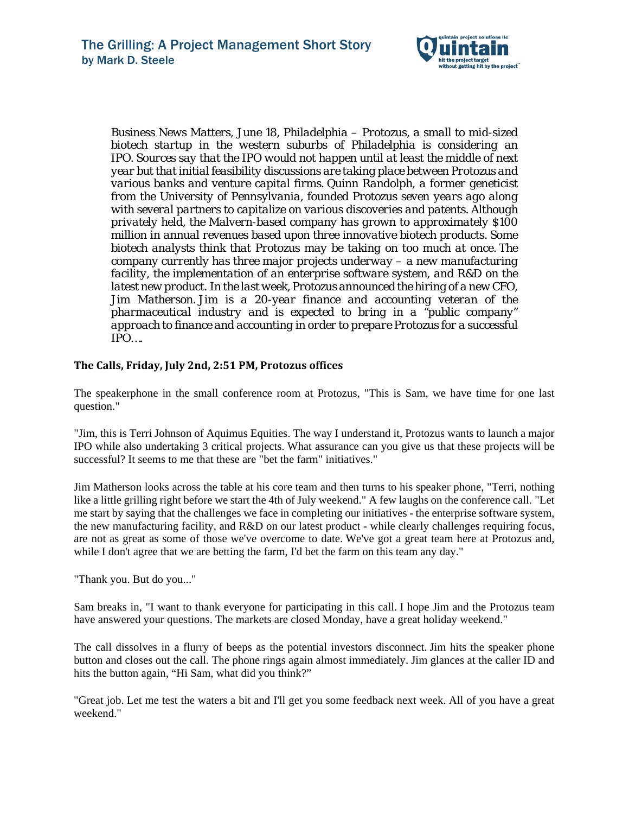

*Business News Matters, June 18, Philadelphia – Protozus, a small to mid-sized biotech startup in the western suburbs of Philadelphia is considering an IPO. Sources say that the IPO would not happen until at least the middle of next year but that initial feasibility discussions are taking place between Protozus and various banks and venture capital firms. Quinn Randolph, a former geneticist from the University of Pennsylvania, founded Protozus seven years ago along with several partners to capitalize on various discoveries and patents. Although privately held, the Malvern-based company has grown to approximately \$100 million in annual revenues based upon three innovative biotech products. Some biotech analysts think that Protozus may be taking on too much at once. The company currently has three major projects underway – a new manufacturing facility, the implementation of an enterprise software system, and R&D on the latest new product. In the last week, Protozus announced the hiring of a new CFO, Jim Matherson. Jim is a 20-year finance and accounting veteran of the pharmaceutical industry and is expected to bring in a "public company" approach to finance and accounting in order to prepare Protozus for a successful IPO….*

# **The Calls, Friday, July 2nd, 2:51 PM, Protozus offices**

The speakerphone in the small conference room at Protozus, "This is Sam, we have time for one last question."

"Jim, this is Terri Johnson of Aquimus Equities. The way I understand it, Protozus wants to launch a major IPO while also undertaking 3 critical projects. What assurance can you give us that these projects will be successful? It seems to me that these are "bet the farm" initiatives."

Jim Matherson looks across the table at his core team and then turns to his speaker phone, "Terri, nothing like a little grilling right before we start the 4th of July weekend." A few laughs on the conference call. "Let me start by saying that the challenges we face in completing our initiatives - the enterprise software system, the new manufacturing facility, and R&D on our latest product - while clearly challenges requiring focus, are not as great as some of those we've overcome to date. We've got a great team here at Protozus and, while I don't agree that we are betting the farm, I'd bet the farm on this team any day."

"Thank you. But do you..."

Sam breaks in, "I want to thank everyone for participating in this call. I hope Jim and the Protozus team have answered your questions. The markets are closed Monday, have a great holiday weekend."

The call dissolves in a flurry of beeps as the potential investors disconnect. Jim hits the speaker phone button and closes out the call. The phone rings again almost immediately. Jim glances at the caller ID and hits the button again, "Hi Sam, what did you think?"

"Great job. Let me test the waters a bit and I'll get you some feedback next week. All of you have a great weekend."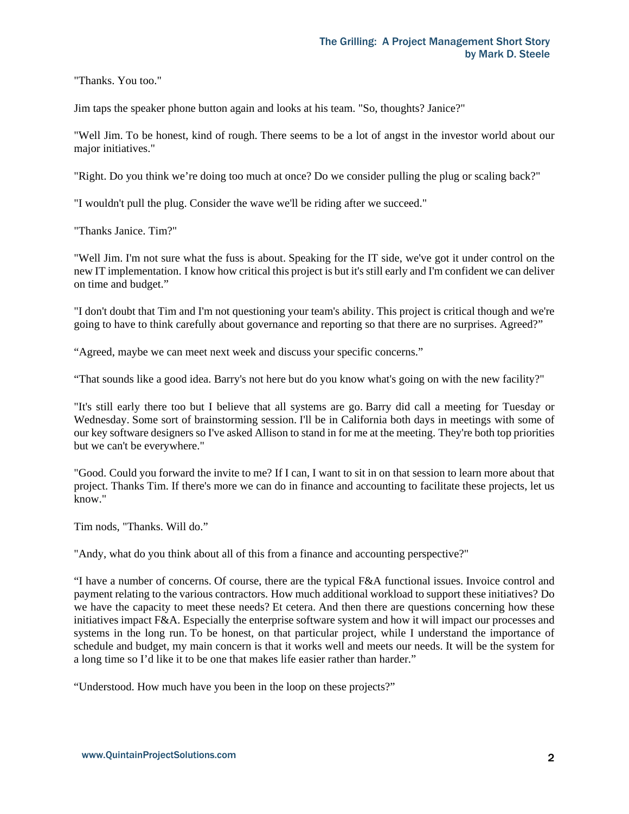"Thanks. You too."

Jim taps the speaker phone button again and looks at his team. "So, thoughts? Janice?"

"Well Jim. To be honest, kind of rough. There seems to be a lot of angst in the investor world about our major initiatives."

"Right. Do you think we're doing too much at once? Do we consider pulling the plug or scaling back?"

"I wouldn't pull the plug. Consider the wave we'll be riding after we succeed."

"Thanks Janice. Tim?"

"Well Jim. I'm not sure what the fuss is about. Speaking for the IT side, we've got it under control on the new IT implementation. I know how critical this project is but it's still early and I'm confident we can deliver on time and budget."

"I don't doubt that Tim and I'm not questioning your team's ability. This project is critical though and we're going to have to think carefully about governance and reporting so that there are no surprises. Agreed?"

"Agreed, maybe we can meet next week and discuss your specific concerns."

"That sounds like a good idea. Barry's not here but do you know what's going on with the new facility?"

"It's still early there too but I believe that all systems are go. Barry did call a meeting for Tuesday or Wednesday. Some sort of brainstorming session. I'll be in California both days in meetings with some of our key software designers so I've asked Allison to stand in for me at the meeting. They're both top priorities but we can't be everywhere."

"Good. Could you forward the invite to me? If I can, I want to sit in on that session to learn more about that project. Thanks Tim. If there's more we can do in finance and accounting to facilitate these projects, let us know."

Tim nods, "Thanks. Will do."

"Andy, what do you think about all of this from a finance and accounting perspective?"

"I have a number of concerns. Of course, there are the typical F&A functional issues. Invoice control and payment relating to the various contractors. How much additional workload to support these initiatives? Do we have the capacity to meet these needs? Et cetera. And then there are questions concerning how these initiatives impact F&A. Especially the enterprise software system and how it will impact our processes and systems in the long run. To be honest, on that particular project, while I understand the importance of schedule and budget, my main concern is that it works well and meets our needs. It will be the system for a long time so I'd like it to be one that makes life easier rather than harder."

"Understood. How much have you been in the loop on these projects?"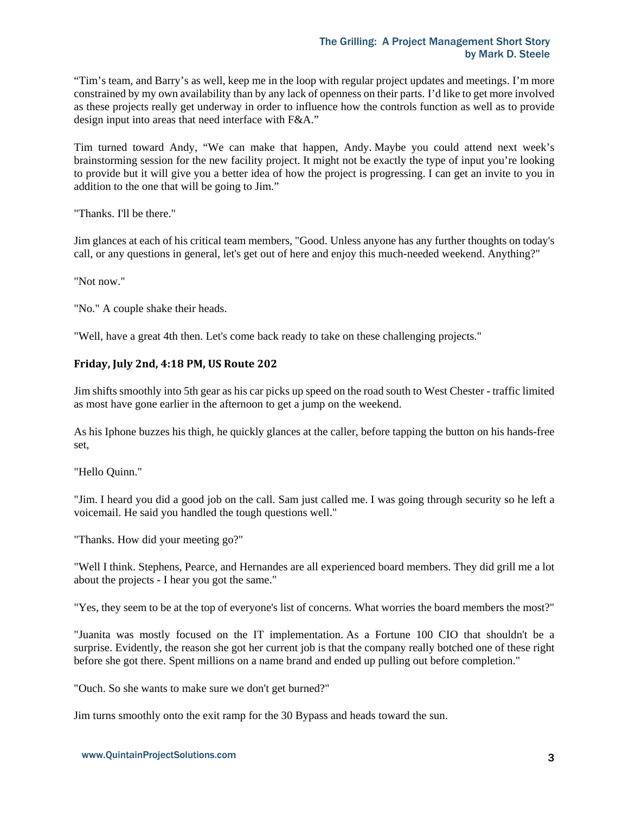"Tim's team, and Barry's as well, keep me in the loop with regular project updates and meetings. I'm more constrained by my own availability than by any lack of openness on their parts. I'd like to get more involved as these projects really get underway in order to influence how the controls function as well as to provide design input into areas that need interface with F&A."

Tim turned toward Andy, "We can make that happen, Andy. Maybe you could attend next week's brainstorming session for the new facility project. It might not be exactly the type of input you're looking to provide but it will give you a better idea of how the project is progressing. I can get an invite to you in addition to the one that will be going to Jim."

"Thanks. I'll be there."

Jim glances at each of his critical team members, "Good. Unless anyone has any further thoughts on today's call, or any questions in general, let's get out of here and enjoy this much-needed weekend. Anything?"

"Not now."

"No." A couple shake their heads.

"Well, have a great 4th then. Let's come back ready to take on these challenging projects."

#### **Friday, July 2nd, 4:18 PM, US Route 202**

Jim shifts smoothly into 5th gear as his car picks up speed on the road south to West Chester - traffic limited as most have gone earlier in the afternoon to get a jump on the weekend.

As his Iphone buzzes his thigh, he quickly glances at the caller, before tapping the button on his hands-free set,

"Hello Quinn."

"Jim. I heard you did a good job on the call. Sam just called me. I was going through security so he left a voicemail. He said you handled the tough questions well."

"Thanks. How did your meeting go?"

"Well I think. Stephens, Pearce, and Hernandes are all experienced board members. They did grill me a lot about the projects - I hear you got the same."

"Yes, they seem to be at the top of everyone's list of concerns. What worries the board members the most?"

"Juanita was mostly focused on the IT implementation. As a Fortune 100 CIO that shouldn't be a surprise. Evidently, the reason she got her current job is that the company really botched one of these right before she got there. Spent millions on a name brand and ended up pulling out before completion."

"Ouch. So she wants to make sure we don't get burned?"

Jim turns smoothly onto the exit ramp for the 30 Bypass and heads toward the sun.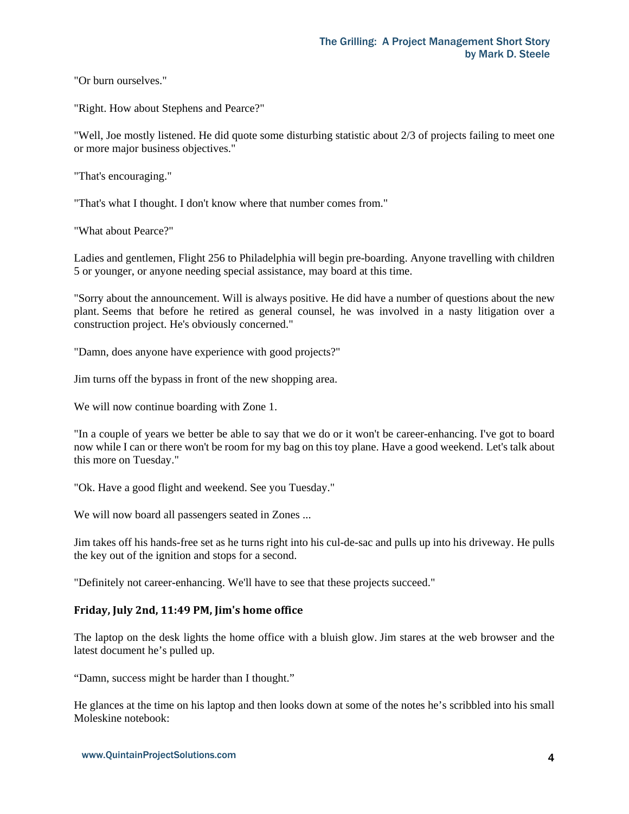"Or burn ourselves."

"Right. How about Stephens and Pearce?"

"Well, Joe mostly listened. He did quote some disturbing statistic about 2/3 of projects failing to meet one or more major business objectives."

"That's encouraging."

"That's what I thought. I don't know where that number comes from."

"What about Pearce?"

Ladies and gentlemen, Flight 256 to Philadelphia will begin pre-boarding. Anyone travelling with children 5 or younger, or anyone needing special assistance, may board at this time.

"Sorry about the announcement. Will is always positive. He did have a number of questions about the new plant. Seems that before he retired as general counsel, he was involved in a nasty litigation over a construction project. He's obviously concerned."

"Damn, does anyone have experience with good projects?"

Jim turns off the bypass in front of the new shopping area.

We will now continue boarding with Zone 1.

"In a couple of years we better be able to say that we do or it won't be career-enhancing. I've got to board now while I can or there won't be room for my bag on this toy plane. Have a good weekend. Let's talk about this more on Tuesday."

"Ok. Have a good flight and weekend. See you Tuesday."

We will now board all passengers seated in Zones ...

Jim takes off his hands-free set as he turns right into his cul-de-sac and pulls up into his driveway. He pulls the key out of the ignition and stops for a second.

"Definitely not career-enhancing. We'll have to see that these projects succeed."

## **Friday, July 2nd, 11:49 PM, Jim's home office**

The laptop on the desk lights the home office with a bluish glow. Jim stares at the web browser and the latest document he's pulled up.

"Damn, success might be harder than I thought."

He glances at the time on his laptop and then looks down at some of the notes he's scribbled into his small Moleskine notebook: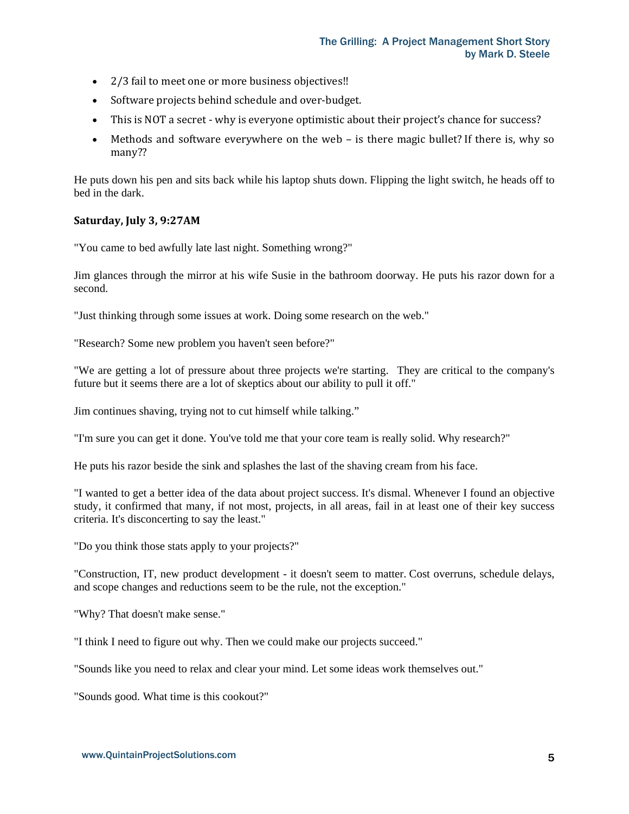- 2/3 fail to meet one or more business objectives!!
- Software projects behind schedule and over-budget.
- This is NOT a secret why is everyone optimistic about their project's chance for success?
- Methods and software everywhere on the web is there magic bullet? If there is, why so many??

He puts down his pen and sits back while his laptop shuts down. Flipping the light switch, he heads off to bed in the dark.

## **Saturday, July 3, 9:27AM**

"You came to bed awfully late last night. Something wrong?"

Jim glances through the mirror at his wife Susie in the bathroom doorway. He puts his razor down for a second.

"Just thinking through some issues at work. Doing some research on the web."

"Research? Some new problem you haven't seen before?"

"We are getting a lot of pressure about three projects we're starting. They are critical to the company's future but it seems there are a lot of skeptics about our ability to pull it off."

Jim continues shaving, trying not to cut himself while talking."

"I'm sure you can get it done. You've told me that your core team is really solid. Why research?"

He puts his razor beside the sink and splashes the last of the shaving cream from his face.

"I wanted to get a better idea of the data about project success. It's dismal. Whenever I found an objective study, it confirmed that many, if not most, projects, in all areas, fail in at least one of their key success criteria. It's disconcerting to say the least."

"Do you think those stats apply to your projects?"

"Construction, IT, new product development - it doesn't seem to matter. Cost overruns, schedule delays, and scope changes and reductions seem to be the rule, not the exception."

"Why? That doesn't make sense."

"I think I need to figure out why. Then we could make our projects succeed."

"Sounds like you need to relax and clear your mind. Let some ideas work themselves out."

"Sounds good. What time is this cookout?"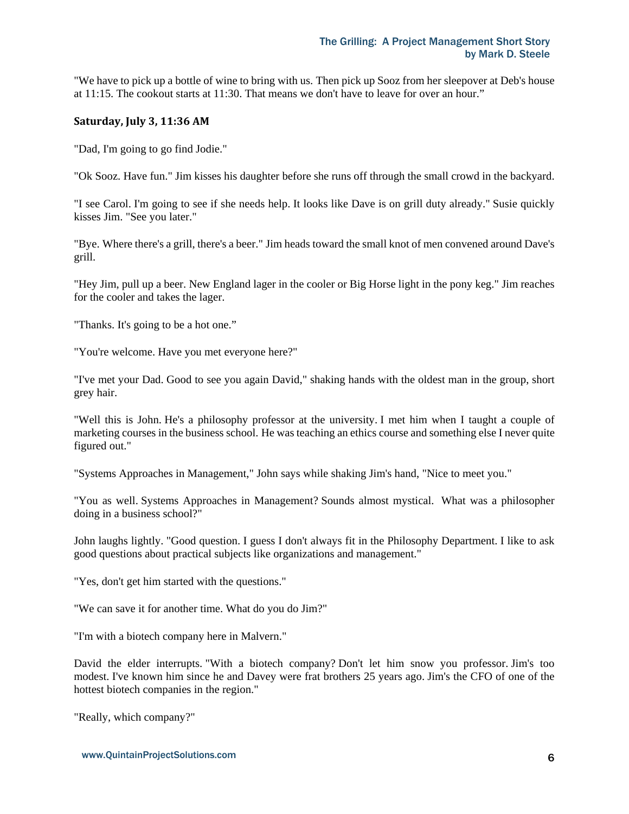"We have to pick up a bottle of wine to bring with us. Then pick up Sooz from her sleepover at Deb's house at 11:15. The cookout starts at 11:30. That means we don't have to leave for over an hour."

#### **Saturday, July 3, 11:36 AM**

"Dad, I'm going to go find Jodie."

"Ok Sooz. Have fun." Jim kisses his daughter before she runs off through the small crowd in the backyard.

"I see Carol. I'm going to see if she needs help. It looks like Dave is on grill duty already." Susie quickly kisses Jim. "See you later."

"Bye. Where there's a grill, there's a beer." Jim heads toward the small knot of men convened around Dave's grill.

"Hey Jim, pull up a beer. New England lager in the cooler or Big Horse light in the pony keg." Jim reaches for the cooler and takes the lager.

"Thanks. It's going to be a hot one."

"You're welcome. Have you met everyone here?"

"I've met your Dad. Good to see you again David," shaking hands with the oldest man in the group, short grey hair.

"Well this is John. He's a philosophy professor at the university. I met him when I taught a couple of marketing courses in the business school. He was teaching an ethics course and something else I never quite figured out."

"Systems Approaches in Management," John says while shaking Jim's hand, "Nice to meet you."

"You as well. Systems Approaches in Management? Sounds almost mystical. What was a philosopher doing in a business school?"

John laughs lightly. "Good question. I guess I don't always fit in the Philosophy Department. I like to ask good questions about practical subjects like organizations and management."

"Yes, don't get him started with the questions."

"We can save it for another time. What do you do Jim?"

"I'm with a biotech company here in Malvern."

David the elder interrupts. "With a biotech company? Don't let him snow you professor. Jim's too modest. I've known him since he and Davey were frat brothers 25 years ago. Jim's the CFO of one of the hottest biotech companies in the region."

"Really, which company?"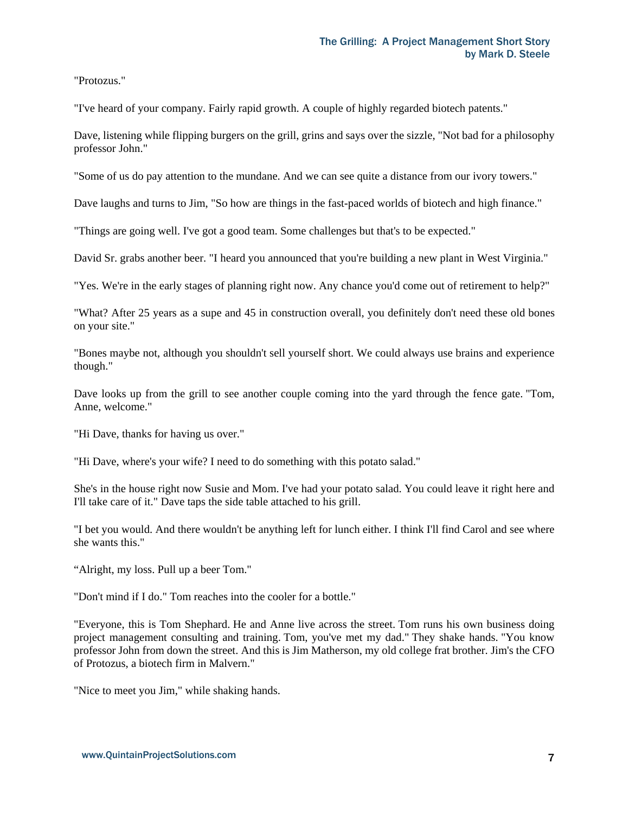"Protozus."

"I've heard of your company. Fairly rapid growth. A couple of highly regarded biotech patents."

Dave, listening while flipping burgers on the grill, grins and says over the sizzle, "Not bad for a philosophy professor John."

"Some of us do pay attention to the mundane. And we can see quite a distance from our ivory towers."

Dave laughs and turns to Jim, "So how are things in the fast-paced worlds of biotech and high finance."

"Things are going well. I've got a good team. Some challenges but that's to be expected."

David Sr. grabs another beer. "I heard you announced that you're building a new plant in West Virginia."

"Yes. We're in the early stages of planning right now. Any chance you'd come out of retirement to help?"

"What? After 25 years as a supe and 45 in construction overall, you definitely don't need these old bones on your site."

"Bones maybe not, although you shouldn't sell yourself short. We could always use brains and experience though."

Dave looks up from the grill to see another couple coming into the yard through the fence gate. "Tom, Anne, welcome."

"Hi Dave, thanks for having us over."

"Hi Dave, where's your wife? I need to do something with this potato salad."

She's in the house right now Susie and Mom. I've had your potato salad. You could leave it right here and I'll take care of it." Dave taps the side table attached to his grill.

"I bet you would. And there wouldn't be anything left for lunch either. I think I'll find Carol and see where she wants this."

"Alright, my loss. Pull up a beer Tom."

"Don't mind if I do." Tom reaches into the cooler for a bottle."

"Everyone, this is Tom Shephard. He and Anne live across the street. Tom runs his own business doing project management consulting and training. Tom, you've met my dad." They shake hands. "You know professor John from down the street. And this is Jim Matherson, my old college frat brother. Jim's the CFO of Protozus, a biotech firm in Malvern."

"Nice to meet you Jim," while shaking hands.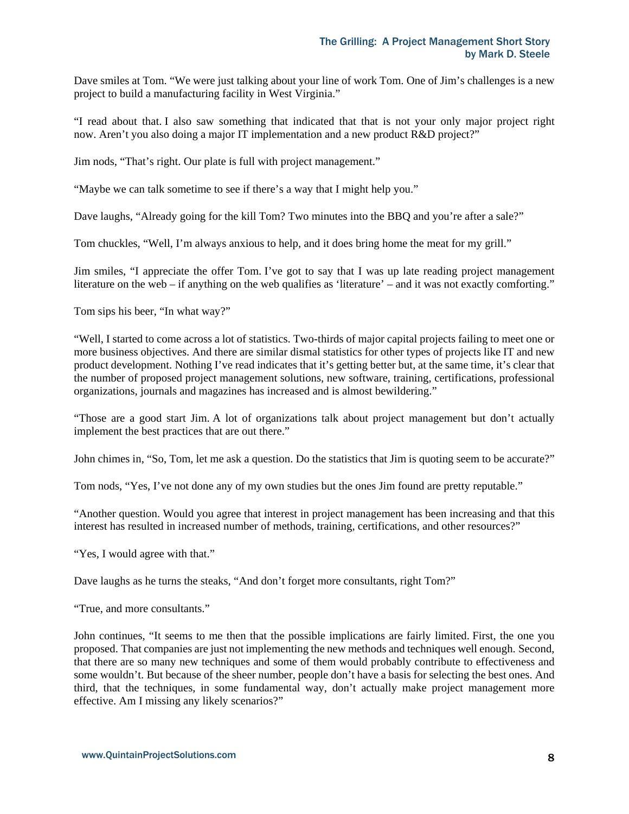Dave smiles at Tom. "We were just talking about your line of work Tom. One of Jim's challenges is a new project to build a manufacturing facility in West Virginia."

"I read about that. I also saw something that indicated that that is not your only major project right now. Aren't you also doing a major IT implementation and a new product R&D project?"

Jim nods, "That's right. Our plate is full with project management."

"Maybe we can talk sometime to see if there's a way that I might help you."

Dave laughs, "Already going for the kill Tom? Two minutes into the BBQ and you're after a sale?"

Tom chuckles, "Well, I'm always anxious to help, and it does bring home the meat for my grill."

Jim smiles, "I appreciate the offer Tom. I've got to say that I was up late reading project management literature on the web – if anything on the web qualifies as 'literature' – and it was not exactly comforting."

Tom sips his beer, "In what way?"

"Well, I started to come across a lot of statistics. Two-thirds of major capital projects failing to meet one or more business objectives. And there are similar dismal statistics for other types of projects like IT and new product development. Nothing I've read indicates that it's getting better but, at the same time, it's clear that the number of proposed project management solutions, new software, training, certifications, professional organizations, journals and magazines has increased and is almost bewildering."

"Those are a good start Jim. A lot of organizations talk about project management but don't actually implement the best practices that are out there."

John chimes in, "So, Tom, let me ask a question. Do the statistics that Jim is quoting seem to be accurate?"

Tom nods, "Yes, I've not done any of my own studies but the ones Jim found are pretty reputable."

"Another question. Would you agree that interest in project management has been increasing and that this interest has resulted in increased number of methods, training, certifications, and other resources?"

"Yes, I would agree with that."

Dave laughs as he turns the steaks, "And don't forget more consultants, right Tom?"

"True, and more consultants."

John continues, "It seems to me then that the possible implications are fairly limited. First, the one you proposed. That companies are just not implementing the new methods and techniques well enough. Second, that there are so many new techniques and some of them would probably contribute to effectiveness and some wouldn't. But because of the sheer number, people don't have a basis for selecting the best ones. And third, that the techniques, in some fundamental way, don't actually make project management more effective. Am I missing any likely scenarios?"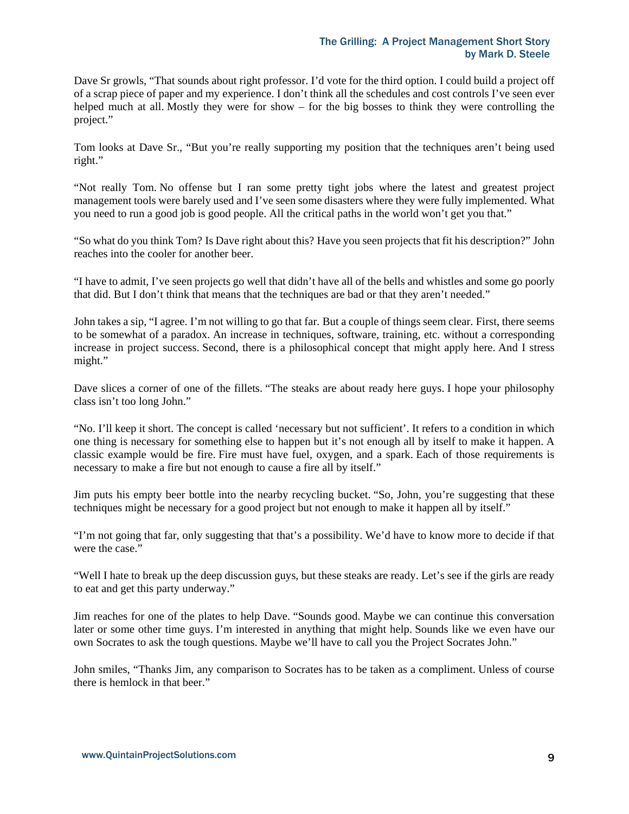Dave Sr growls, "That sounds about right professor. I'd vote for the third option. I could build a project off of a scrap piece of paper and my experience. I don't think all the schedules and cost controls I've seen ever helped much at all. Mostly they were for show – for the big bosses to think they were controlling the project."

Tom looks at Dave Sr., "But you're really supporting my position that the techniques aren't being used right."

"Not really Tom. No offense but I ran some pretty tight jobs where the latest and greatest project management tools were barely used and I've seen some disasters where they were fully implemented. What you need to run a good job is good people. All the critical paths in the world won't get you that."

"So what do you think Tom? Is Dave right about this? Have you seen projects that fit his description?" John reaches into the cooler for another beer.

"I have to admit, I've seen projects go well that didn't have all of the bells and whistles and some go poorly that did. But I don't think that means that the techniques are bad or that they aren't needed."

John takes a sip, "I agree. I'm not willing to go that far. But a couple of things seem clear. First, there seems to be somewhat of a paradox. An increase in techniques, software, training, etc. without a corresponding increase in project success. Second, there is a philosophical concept that might apply here. And I stress might."

Dave slices a corner of one of the fillets. "The steaks are about ready here guys. I hope your philosophy class isn't too long John."

"No. I'll keep it short. The concept is called 'necessary but not sufficient'. It refers to a condition in which one thing is necessary for something else to happen but it's not enough all by itself to make it happen. A classic example would be fire. Fire must have fuel, oxygen, and a spark. Each of those requirements is necessary to make a fire but not enough to cause a fire all by itself."

Jim puts his empty beer bottle into the nearby recycling bucket. "So, John, you're suggesting that these techniques might be necessary for a good project but not enough to make it happen all by itself."

"I'm not going that far, only suggesting that that's a possibility. We'd have to know more to decide if that were the case."

"Well I hate to break up the deep discussion guys, but these steaks are ready. Let's see if the girls are ready to eat and get this party underway."

Jim reaches for one of the plates to help Dave. "Sounds good. Maybe we can continue this conversation later or some other time guys. I'm interested in anything that might help. Sounds like we even have our own Socrates to ask the tough questions. Maybe we'll have to call you the Project Socrates John."

John smiles, "Thanks Jim, any comparison to Socrates has to be taken as a compliment. Unless of course there is hemlock in that beer."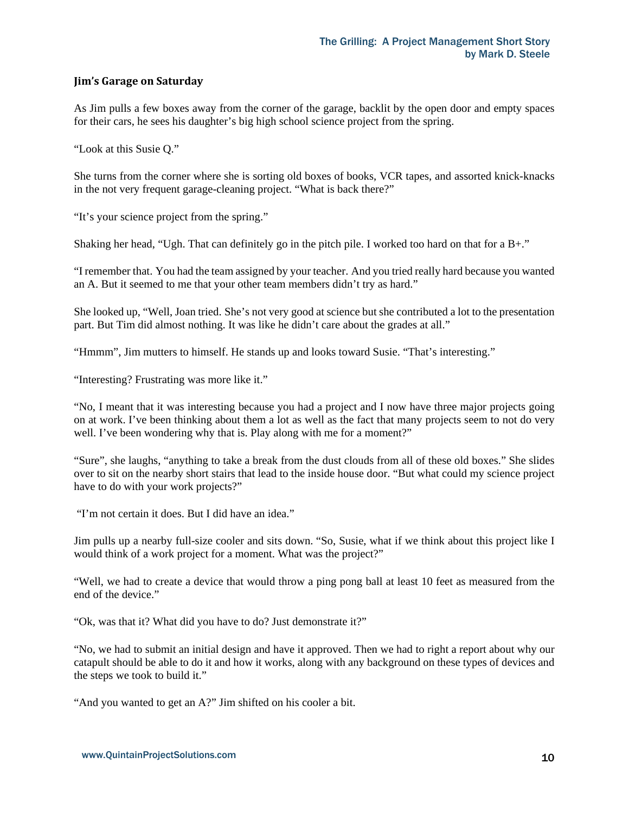## **Jim's Garage on Saturday**

As Jim pulls a few boxes away from the corner of the garage, backlit by the open door and empty spaces for their cars, he sees his daughter's big high school science project from the spring.

"Look at this Susie Q."

She turns from the corner where she is sorting old boxes of books, VCR tapes, and assorted knick-knacks in the not very frequent garage-cleaning project. "What is back there?"

"It's your science project from the spring."

Shaking her head, "Ugh. That can definitely go in the pitch pile. I worked too hard on that for a B+."

"I remember that. You had the team assigned by your teacher. And you tried really hard because you wanted an A. But it seemed to me that your other team members didn't try as hard."

She looked up, "Well, Joan tried. She's not very good at science but she contributed a lot to the presentation part. But Tim did almost nothing. It was like he didn't care about the grades at all."

"Hmmm", Jim mutters to himself. He stands up and looks toward Susie. "That's interesting."

"Interesting? Frustrating was more like it."

"No, I meant that it was interesting because you had a project and I now have three major projects going on at work. I've been thinking about them a lot as well as the fact that many projects seem to not do very well. I've been wondering why that is. Play along with me for a moment?"

"Sure", she laughs, "anything to take a break from the dust clouds from all of these old boxes." She slides over to sit on the nearby short stairs that lead to the inside house door. "But what could my science project have to do with your work projects?"

"I'm not certain it does. But I did have an idea."

Jim pulls up a nearby full-size cooler and sits down. "So, Susie, what if we think about this project like I would think of a work project for a moment. What was the project?"

"Well, we had to create a device that would throw a ping pong ball at least 10 feet as measured from the end of the device."

"Ok, was that it? What did you have to do? Just demonstrate it?"

"No, we had to submit an initial design and have it approved. Then we had to right a report about why our catapult should be able to do it and how it works, along with any background on these types of devices and the steps we took to build it."

"And you wanted to get an A?" Jim shifted on his cooler a bit.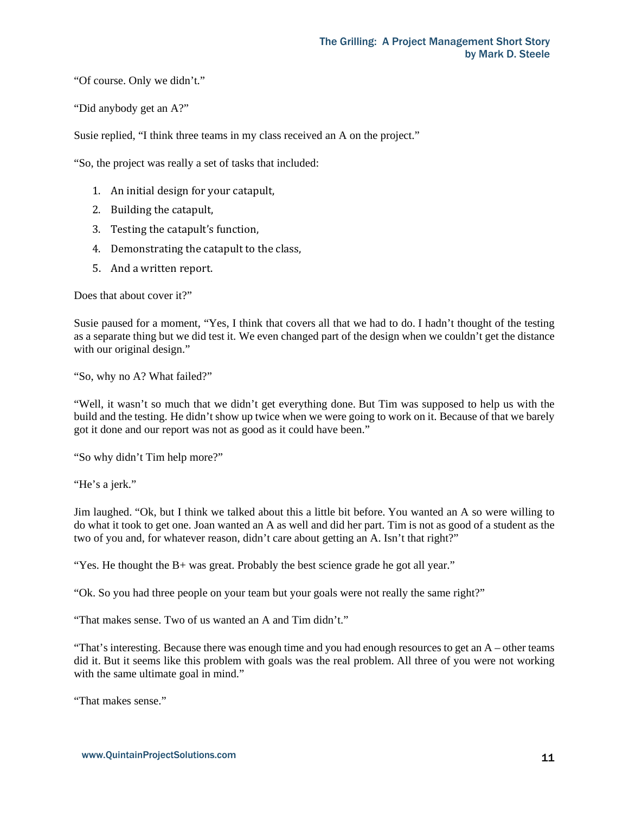"Of course. Only we didn't."

"Did anybody get an A?"

Susie replied, "I think three teams in my class received an A on the project."

"So, the project was really a set of tasks that included:

- 1. An initial design for your catapult,
- 2. Building the catapult,
- 3. Testing the catapult's function,
- 4. Demonstrating the catapult to the class,
- 5. And a written report.

Does that about cover it?"

Susie paused for a moment, "Yes, I think that covers all that we had to do. I hadn't thought of the testing as a separate thing but we did test it. We even changed part of the design when we couldn't get the distance with our original design."

"So, why no A? What failed?"

"Well, it wasn't so much that we didn't get everything done. But Tim was supposed to help us with the build and the testing. He didn't show up twice when we were going to work on it. Because of that we barely got it done and our report was not as good as it could have been."

"So why didn't Tim help more?"

"He's a jerk."

Jim laughed. "Ok, but I think we talked about this a little bit before. You wanted an A so were willing to do what it took to get one. Joan wanted an A as well and did her part. Tim is not as good of a student as the two of you and, for whatever reason, didn't care about getting an A. Isn't that right?"

"Yes. He thought the B+ was great. Probably the best science grade he got all year."

"Ok. So you had three people on your team but your goals were not really the same right?"

"That makes sense. Two of us wanted an A and Tim didn't."

"That's interesting. Because there was enough time and you had enough resources to get an A – other teams did it. But it seems like this problem with goals was the real problem. All three of you were not working with the same ultimate goal in mind."

"That makes sense."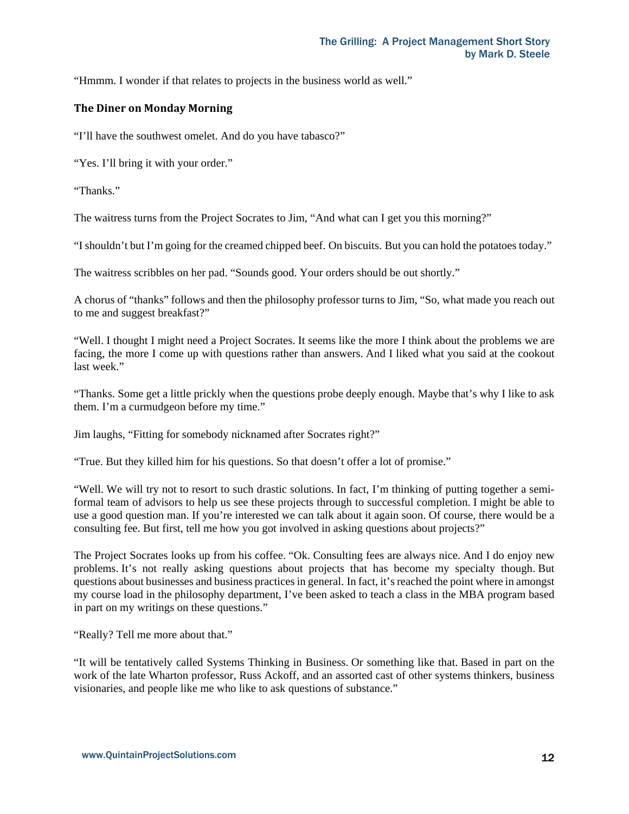"Hmmm. I wonder if that relates to projects in the business world as well."

## **The Diner on Monday Morning**

"I'll have the southwest omelet. And do you have tabasco?"

"Yes. I'll bring it with your order."

"Thanks."

The waitress turns from the Project Socrates to Jim, "And what can I get you this morning?"

"I shouldn't but I'm going for the creamed chipped beef. On biscuits. But you can hold the potatoes today."

The waitress scribbles on her pad. "Sounds good. Your orders should be out shortly."

A chorus of "thanks" follows and then the philosophy professor turns to Jim, "So, what made you reach out to me and suggest breakfast?"

"Well. I thought I might need a Project Socrates. It seems like the more I think about the problems we are facing, the more I come up with questions rather than answers. And I liked what you said at the cookout last week."

"Thanks. Some get a little prickly when the questions probe deeply enough. Maybe that's why I like to ask them. I'm a curmudgeon before my time."

Jim laughs, "Fitting for somebody nicknamed after Socrates right?"

"True. But they killed him for his questions. So that doesn't offer a lot of promise."

"Well. We will try not to resort to such drastic solutions. In fact, I'm thinking of putting together a semiformal team of advisors to help us see these projects through to successful completion. I might be able to use a good question man. If you're interested we can talk about it again soon. Of course, there would be a consulting fee. But first, tell me how you got involved in asking questions about projects?"

The Project Socrates looks up from his coffee. "Ok. Consulting fees are always nice. And I do enjoy new problems. It's not really asking questions about projects that has become my specialty though. But questions about businesses and business practices in general. In fact, it's reached the point where in amongst my course load in the philosophy department, I've been asked to teach a class in the MBA program based in part on my writings on these questions."

"Really? Tell me more about that."

"It will be tentatively called Systems Thinking in Business. Or something like that. Based in part on the work of the late Wharton professor, Russ Ackoff, and an assorted cast of other systems thinkers, business visionaries, and people like me who like to ask questions of substance."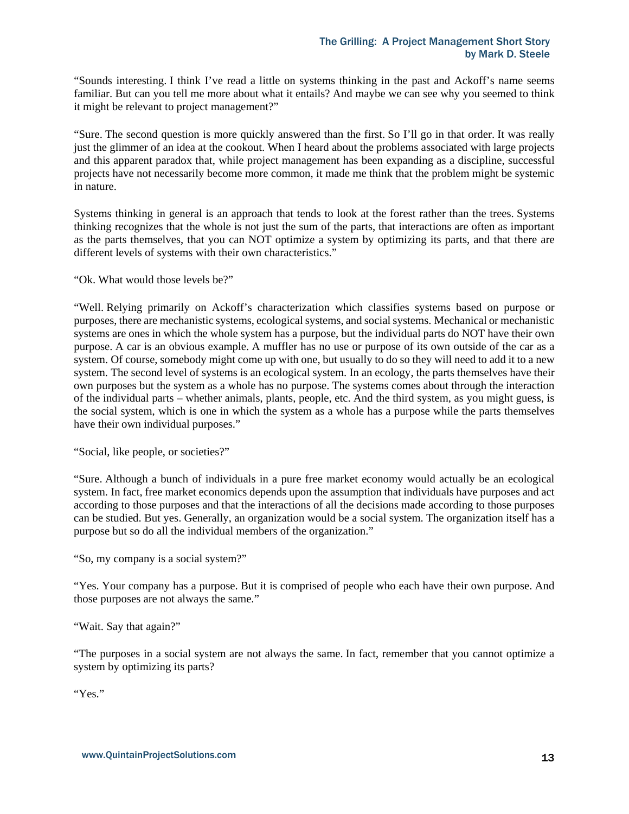"Sounds interesting. I think I've read a little on systems thinking in the past and Ackoff's name seems familiar. But can you tell me more about what it entails? And maybe we can see why you seemed to think it might be relevant to project management?"

"Sure. The second question is more quickly answered than the first. So I'll go in that order. It was really just the glimmer of an idea at the cookout. When I heard about the problems associated with large projects and this apparent paradox that, while project management has been expanding as a discipline, successful projects have not necessarily become more common, it made me think that the problem might be systemic in nature.

Systems thinking in general is an approach that tends to look at the forest rather than the trees. Systems thinking recognizes that the whole is not just the sum of the parts, that interactions are often as important as the parts themselves, that you can NOT optimize a system by optimizing its parts, and that there are different levels of systems with their own characteristics."

"Ok. What would those levels be?"

"Well. Relying primarily on Ackoff's characterization which classifies systems based on purpose or purposes, there are mechanistic systems, ecological systems, and social systems. Mechanical or mechanistic systems are ones in which the whole system has a purpose, but the individual parts do NOT have their own purpose. A car is an obvious example. A muffler has no use or purpose of its own outside of the car as a system. Of course, somebody might come up with one, but usually to do so they will need to add it to a new system. The second level of systems is an ecological system. In an ecology, the parts themselves have their own purposes but the system as a whole has no purpose. The systems comes about through the interaction of the individual parts – whether animals, plants, people, etc. And the third system, as you might guess, is the social system, which is one in which the system as a whole has a purpose while the parts themselves have their own individual purposes."

"Social, like people, or societies?"

"Sure. Although a bunch of individuals in a pure free market economy would actually be an ecological system. In fact, free market economics depends upon the assumption that individuals have purposes and act according to those purposes and that the interactions of all the decisions made according to those purposes can be studied. But yes. Generally, an organization would be a social system. The organization itself has a purpose but so do all the individual members of the organization."

"So, my company is a social system?"

"Yes. Your company has a purpose. But it is comprised of people who each have their own purpose. And those purposes are not always the same."

"Wait. Say that again?"

"The purposes in a social system are not always the same. In fact, remember that you cannot optimize a system by optimizing its parts?

"Yes."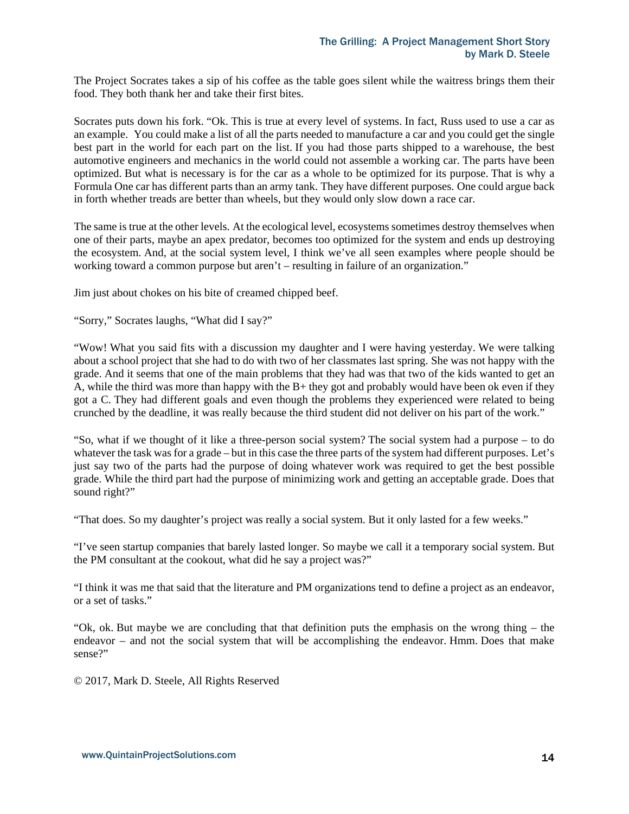The Project Socrates takes a sip of his coffee as the table goes silent while the waitress brings them their food. They both thank her and take their first bites.

Socrates puts down his fork. "Ok. This is true at every level of systems. In fact, Russ used to use a car as an example. You could make a list of all the parts needed to manufacture a car and you could get the single best part in the world for each part on the list. If you had those parts shipped to a warehouse, the best automotive engineers and mechanics in the world could not assemble a working car. The parts have been optimized. But what is necessary is for the car as a whole to be optimized for its purpose. That is why a Formula One car has different parts than an army tank. They have different purposes. One could argue back in forth whether treads are better than wheels, but they would only slow down a race car.

The same is true at the other levels. At the ecological level, ecosystems sometimes destroy themselves when one of their parts, maybe an apex predator, becomes too optimized for the system and ends up destroying the ecosystem. And, at the social system level, I think we've all seen examples where people should be working toward a common purpose but aren't – resulting in failure of an organization."

Jim just about chokes on his bite of creamed chipped beef.

"Sorry," Socrates laughs, "What did I say?"

"Wow! What you said fits with a discussion my daughter and I were having yesterday. We were talking about a school project that she had to do with two of her classmates last spring. She was not happy with the grade. And it seems that one of the main problems that they had was that two of the kids wanted to get an A, while the third was more than happy with the  $B+$  they got and probably would have been ok even if they got a C. They had different goals and even though the problems they experienced were related to being crunched by the deadline, it was really because the third student did not deliver on his part of the work."

"So, what if we thought of it like a three-person social system? The social system had a purpose – to do whatever the task was for a grade – but in this case the three parts of the system had different purposes. Let's just say two of the parts had the purpose of doing whatever work was required to get the best possible grade. While the third part had the purpose of minimizing work and getting an acceptable grade. Does that sound right?"

"That does. So my daughter's project was really a social system. But it only lasted for a few weeks."

"I've seen startup companies that barely lasted longer. So maybe we call it a temporary social system. But the PM consultant at the cookout, what did he say a project was?"

"I think it was me that said that the literature and PM organizations tend to define a project as an endeavor, or a set of tasks."

"Ok, ok. But maybe we are concluding that that definition puts the emphasis on the wrong thing – the endeavor – and not the social system that will be accomplishing the endeavor. Hmm. Does that make sense?"

© 2017, Mark D. Steele, All Rights Reserved